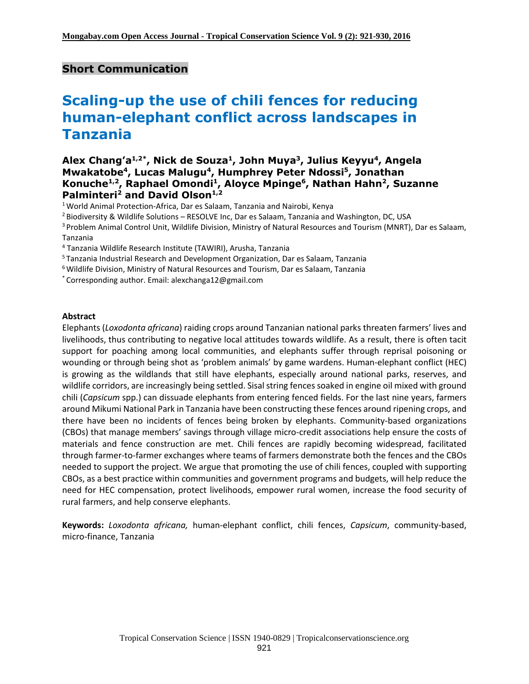# **Short Communication**

# **Scaling-up the use of chili fences for reducing human-elephant conflict across landscapes in Tanzania**

### **Alex Chang'a1,2\* , Nick de Souza<sup>1</sup> , John Muya<sup>3</sup> , Julius Keyyu<sup>4</sup> , Angela Mwakatobe<sup>4</sup> , Lucas Malugu<sup>4</sup> , Humphrey Peter Ndossi<sup>5</sup> , Jonathan Konuche1,2 , Raphael Omondi<sup>1</sup> , Aloyce Mpinge<sup>6</sup> , Nathan Hahn<sup>2</sup> , Suzanne Palminteri<sup>2</sup> and David Olson1,2**

<sup>1</sup> World Animal Protection-Africa, Dar es Salaam, Tanzania and Nairobi, Kenya

<sup>2</sup> Biodiversity & Wildlife Solutions – RESOLVE Inc, Dar es Salaam, Tanzania and Washington, DC, USA

<sup>3</sup> Problem Animal Control Unit, Wildlife Division, Ministry of Natural Resources and Tourism (MNRT), Dar es Salaam, Tanzania

<sup>4</sup> Tanzania Wildlife Research Institute (TAWIRI), Arusha, Tanzania

<sup>5</sup> Tanzania Industrial Research and Development Organization, Dar es Salaam, Tanzania

<sup>6</sup>Wildlife Division, Ministry of Natural Resources and Tourism, Dar es Salaam, Tanzania

\* Corresponding author. Email: [alexchanga12@gmail.com](mailto:alexchanga12@gmail.com)

#### **Abstract**

Elephants (*Loxodonta africana*) raiding crops around Tanzanian national parks threaten farmers' lives and livelihoods, thus contributing to negative local attitudes towards wildlife. As a result, there is often tacit support for poaching among local communities, and elephants suffer through reprisal poisoning or wounding or through being shot as 'problem animals' by game wardens. Human-elephant conflict (HEC) is growing as the wildlands that still have elephants, especially around national parks, reserves, and wildlife corridors, are increasingly being settled. Sisal string fences soaked in engine oil mixed with ground chili (*Capsicum* spp.) can dissuade elephants from entering fenced fields. For the last nine years, farmers around Mikumi National Park in Tanzania have been constructing these fences around ripening crops, and there have been no incidents of fences being broken by elephants. Community-based organizations (CBOs) that manage members' savings through village micro-credit associations help ensure the costs of materials and fence construction are met. Chili fences are rapidly becoming widespread, facilitated through farmer-to-farmer exchanges where teams of farmers demonstrate both the fences and the CBOs needed to support the project. We argue that promoting the use of chili fences, coupled with supporting CBOs, as a best practice within communities and government programs and budgets, will help reduce the need for HEC compensation, protect livelihoods, empower rural women, increase the food security of rural farmers, and help conserve elephants.

**Keywords:** *Loxodonta africana,* human-elephant conflict, chili fences, *Capsicum*, community-based, micro-finance, Tanzania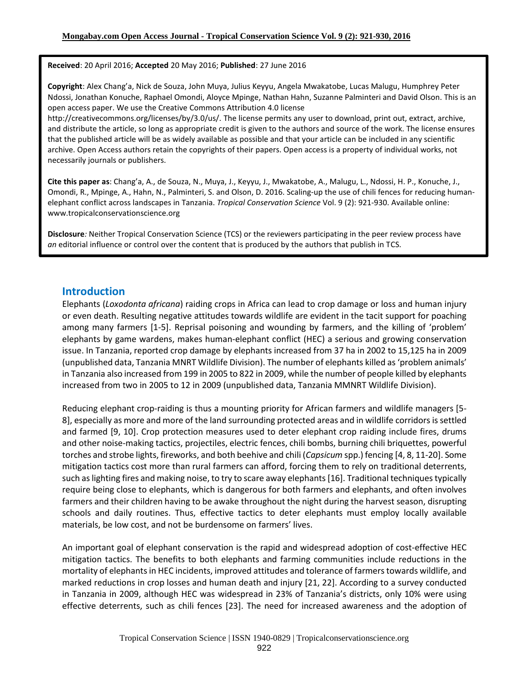**Received**: 20 April 2016; **Accepted** 20 May 2016; **Published**: 27 June 2016

**Copyright**: Alex Chang'a, Nick de Souza, John Muya, Julius Keyyu, Angela Mwakatobe, Lucas Malugu, Humphrey Peter Ndossi, Jonathan Konuche, Raphael Omondi, Aloyce Mpinge, Nathan Hahn, Suzanne Palminteri and David Olson. This is an open access paper. We use the Creative Commons Attribution 4.0 license

http://creativecommons.org/licenses/by/3.0/us/. The license permits any user to download, print out, extract, archive, and distribute the article, so long as appropriate credit is given to the authors and source of the work. The license ensures that the published article will be as widely available as possible and that your article can be included in any scientific archive. Open Access authors retain the copyrights of their papers. Open access is a property of individual works, not necessarily journals or publishers.

**Cite this paper as**: Chang'a, A., de Souza, N., Muya, J., Keyyu, J., Mwakatobe, A., Malugu, L., Ndossi, H. P., Konuche, J., Omondi, R., Mpinge, A., Hahn, N., Palminteri, S. and Olson, D. 2016. Scaling-up the use of chili fences for reducing humanelephant conflict across landscapes in Tanzania. *Tropical Conservation Science* Vol. 9 (2): 921-930. Available online: www.tropicalconservationscience.org

**Disclosure***:* Neither Tropical Conservation Science (TCS) or the reviewers participating in the peer review process have *an* editorial influence or control over the content that is produced by the authors that publish in TCS.

### **Introduction**

Elephants (*Loxodonta africana*) raiding crops in Africa can lead to crop damage or loss and human injury or even death. Resulting negative attitudes towards wildlife are evident in the tacit support for poaching among many farmers [1-5]. Reprisal poisoning and wounding by farmers, and the killing of 'problem' elephants by game wardens, makes human-elephant conflict (HEC) a serious and growing conservation issue. In Tanzania, reported crop damage by elephants increased from 37 ha in 2002 to 15,125 ha in 2009 (unpublished data, Tanzania MNRT Wildlife Division). The number of elephants killed as'problem animals' in Tanzania also increased from 199 in 2005 to 822 in 2009, while the number of people killed by elephants increased from two in 2005 to 12 in 2009 (unpublished data, Tanzania MMNRT Wildlife Division).

Reducing elephant crop-raiding is thus a mounting priority for African farmers and wildlife managers [5- 8], especially as more and more of the land surrounding protected areas and in wildlife corridorsis settled and farmed [9, 10]. Crop protection measures used to deter elephant crop raiding include fires, drums and other noise-making tactics, projectiles, electric fences, chili bombs, burning chili briquettes, powerful torches and strobe lights, fireworks, and both beehive and chili (*Capsicum* spp.) fencing [4, 8, 11-20]. Some mitigation tactics cost more than rural farmers can afford, forcing them to rely on traditional deterrents, such as lighting fires and making noise, to try to scare away elephants [16]. Traditional techniques typically require being close to elephants, which is dangerous for both farmers and elephants, and often involves farmers and their children having to be awake throughout the night during the harvest season, disrupting schools and daily routines. Thus, effective tactics to deter elephants must employ locally available materials, be low cost, and not be burdensome on farmers' lives.

An important goal of elephant conservation is the rapid and widespread adoption of cost-effective HEC mitigation tactics. The benefits to both elephants and farming communities include reductions in the mortality of elephants in HEC incidents, improved attitudes and tolerance of farmers towards wildlife, and marked reductions in crop losses and human death and injury [21, 22]. According to a survey conducted in Tanzania in 2009, although HEC was widespread in 23% of Tanzania's districts, only 10% were using effective deterrents, such as chili fences [23]. The need for increased awareness and the adoption of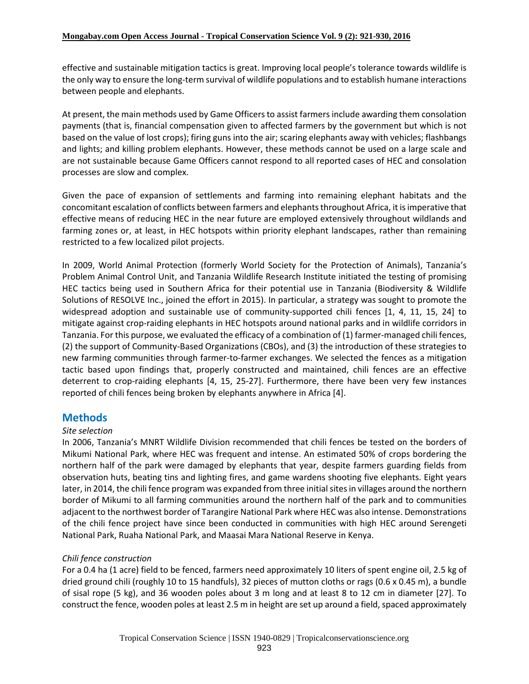effective and sustainable mitigation tactics is great. Improving local people's tolerance towards wildlife is the only way to ensure the long-term survival of wildlife populations and to establish humane interactions between people and elephants.

At present, the main methods used by Game Officers to assist farmers include awarding them consolation payments (that is, financial compensation given to affected farmers by the government but which is not based on the value of lost crops); firing guns into the air; scaring elephants away with vehicles; flashbangs and lights; and killing problem elephants. However, these methods cannot be used on a large scale and are not sustainable because Game Officers cannot respond to all reported cases of HEC and consolation processes are slow and complex.

Given the pace of expansion of settlements and farming into remaining elephant habitats and the concomitant escalation of conflicts between farmers and elephantsthroughout Africa, it isimperative that effective means of reducing HEC in the near future are employed extensively throughout wildlands and farming zones or, at least, in HEC hotspots within priority elephant landscapes, rather than remaining restricted to a few localized pilot projects.

In 2009, World Animal Protection (formerly World Society for the Protection of Animals), Tanzania's Problem Animal Control Unit, and Tanzania Wildlife Research Institute initiated the testing of promising HEC tactics being used in Southern Africa for their potential use in Tanzania (Biodiversity & Wildlife Solutions of RESOLVE Inc., joined the effort in 2015). In particular, a strategy was sought to promote the widespread adoption and sustainable use of community-supported chili fences [1, 4, 11, 15, 24] to mitigate against crop-raiding elephants in HEC hotspots around national parks and in wildlife corridors in Tanzania. For this purpose, we evaluated the efficacy of a combination of (1) farmer-managed chili fences, (2) the support of Community-Based Organizations (CBOs), and (3) the introduction of these strategies to new farming communities through farmer-to-farmer exchanges. We selected the fences as a mitigation tactic based upon findings that, properly constructed and maintained, chili fences are an effective deterrent to crop-raiding elephants [4, 15, 25-27]. Furthermore, there have been very few instances reported of chili fences being broken by elephants anywhere in Africa [4].

# **Methods**

#### *Site selection*

In 2006, Tanzania's MNRT Wildlife Division recommended that chili fences be tested on the borders of Mikumi National Park, where HEC was frequent and intense. An estimated 50% of crops bordering the northern half of the park were damaged by elephants that year, despite farmers guarding fields from observation huts, beating tins and lighting fires, and game wardens shooting five elephants. Eight years later, in 2014, the chili fence program was expanded from three initial sites in villages around the northern border of Mikumi to all farming communities around the northern half of the park and to communities adjacent to the northwest border of Tarangire National Park where HEC was also intense. Demonstrations of the chili fence project have since been conducted in communities with high HEC around Serengeti National Park, Ruaha National Park, and Maasai Mara National Reserve in Kenya.

### *Chili fence construction*

For a 0.4 ha (1 acre) field to be fenced, farmers need approximately 10 liters of spent engine oil, 2.5 kg of dried ground chili (roughly 10 to 15 handfuls), 32 pieces of mutton cloths or rags (0.6 x 0.45 m), a bundle of sisal rope (5 kg), and 36 wooden poles about 3 m long and at least 8 to 12 cm in diameter [27]. To construct the fence, wooden poles at least 2.5 m in height are set up around a field, spaced approximately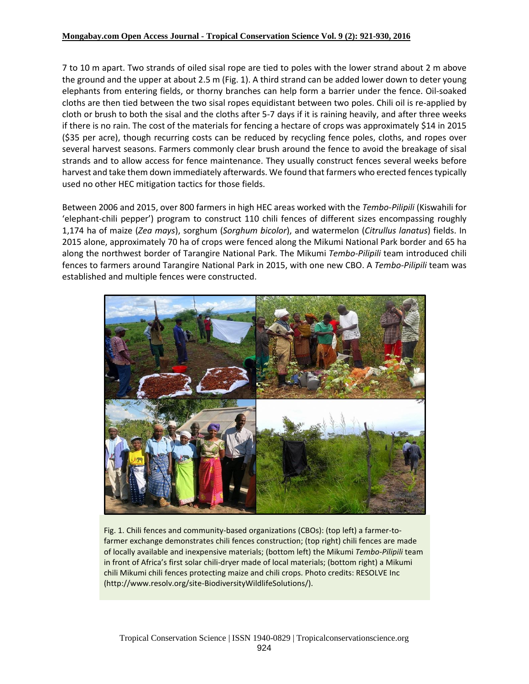#### **Mongabay.com Open Access Journal - Tropical Conservation Science Vol. 9 (2): 921-930, 2016**

7 to 10 m apart. Two strands of oiled sisal rope are tied to poles with the lower strand about 2 m above the ground and the upper at about 2.5 m (Fig. 1). A third strand can be added lower down to deter young elephants from entering fields, or thorny branches can help form a barrier under the fence. Oil-soaked cloths are then tied between the two sisal ropes equidistant between two poles. Chili oil is re-applied by cloth or brush to both the sisal and the cloths after 5-7 days if it is raining heavily, and after three weeks if there is no rain. The cost of the materials for fencing a hectare of crops was approximately \$14 in 2015 (\$35 per acre), though recurring costs can be reduced by recycling fence poles, cloths, and ropes over several harvest seasons. Farmers commonly clear brush around the fence to avoid the breakage of sisal strands and to allow access for fence maintenance. They usually construct fences several weeks before harvest and take them down immediately afterwards. We found that farmers who erected fences typically used no other HEC mitigation tactics for those fields.

Between 2006 and 2015, over 800 farmers in high HEC areas worked with the *Tembo-Pilipili* (Kiswahili for 'elephant-chili pepper') program to construct 110 chili fences of different sizes encompassing roughly 1,174 ha of maize (*Zea mays*), sorghum (*Sorghum bicolor*), and watermelon (*Citrullus lanatus*) fields. In 2015 alone, approximately 70 ha of crops were fenced along the Mikumi National Park border and 65 ha along the northwest border of Tarangire National Park. The Mikumi *Tembo-Pilipili* team introduced chili fences to farmers around Tarangire National Park in 2015, with one new CBO. A *Tembo-Pilipili* team was established and multiple fences were constructed.



Fig. 1. Chili fences and community-based organizations (CBOs): (top left) a farmer-tofarmer exchange demonstrates chili fences construction; (top right) chili fences are made of locally available and inexpensive materials; (bottom left) the Mikumi *Tembo-Pilipili* team in front of Africa's first solar chili-dryer made of local materials; (bottom right) a Mikumi chili Mikumi chili fences protecting maize and chili crops. Photo credits: RESOLVE Inc (http://www.resolv.org/site-BiodiversityWildlifeSolutions/).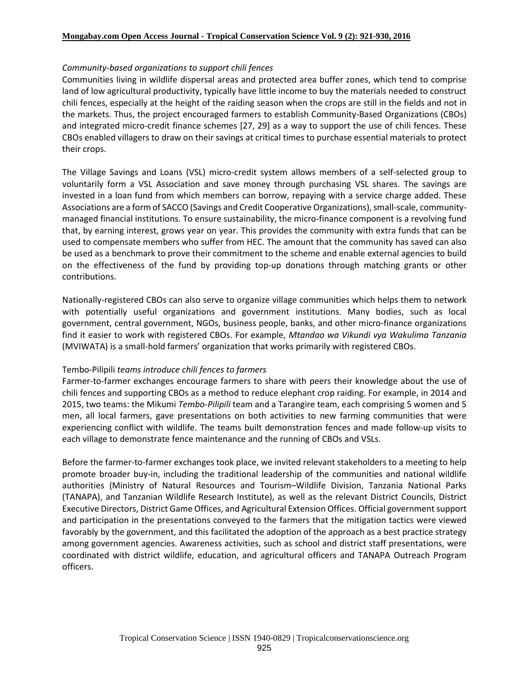#### *Community-based organizations to support chili fences*

Communities living in wildlife dispersal areas and protected area buffer zones, which tend to comprise land of low agricultural productivity, typically have little income to buy the materials needed to construct chili fences, especially at the height of the raiding season when the crops are still in the fields and not in the markets. Thus, the project encouraged farmers to establish Community-Based Organizations (CBOs) and integrated micro-credit finance schemes [27, 29] as a way to support the use of chili fences. These CBOs enabled villagers to draw on their savings at critical times to purchase essential materials to protect their crops.

The Village Savings and Loans (VSL) micro-credit system allows members of a self-selected group to voluntarily form a VSL Association and save money through purchasing VSL shares. The savings are invested in a loan fund from which members can borrow, repaying with a service charge added. These Associations are a form of SACCO (Savings and Credit Cooperative Organizations), small-scale, communitymanaged financial institutions. To ensure sustainability, the micro-finance component is a revolving fund that, by earning interest, grows year on year. This provides the community with extra funds that can be used to compensate members who suffer from HEC. The amount that the community has saved can also be used as a benchmark to prove their commitment to the scheme and enable external agencies to build on the effectiveness of the fund by providing top-up donations through matching grants or other contributions.

Nationally-registered CBOs can also serve to organize village communities which helps them to network with potentially useful organizations and government institutions. Many bodies, such as local government, central government, NGOs, business people, banks, and other micro-finance organizations find it easier to work with registered CBOs. For example, *Mtandao wa Vikundi vya Wakulima Tanzania* (MVIWATA) is a small-hold farmers' organization that works primarily with registered CBOs.

#### Tembo-Pilipili *teams introduce chili fences to farmers*

Farmer-to-farmer exchanges encourage farmers to share with peers their knowledge about the use of chili fences and supporting CBOs as a method to reduce elephant crop raiding. For example, in 2014 and 2015, two teams: the Mikumi *Tembo-Pilipili* team and a Tarangire team, each comprising 5 women and 5 men, all local farmers, gave presentations on both activities to new farming communities that were experiencing conflict with wildlife. The teams built demonstration fences and made follow-up visits to each village to demonstrate fence maintenance and the running of CBOs and VSLs.

Before the farmer-to-farmer exchanges took place, we invited relevant stakeholders to a meeting to help promote broader buy-in, including the traditional leadership of the communities and national wildlife authorities (Ministry of Natural Resources and Tourism–Wildlife Division, Tanzania National Parks (TANAPA), and Tanzanian Wildlife Research Institute), as well as the relevant District Councils, District Executive Directors, District Game Offices, and Agricultural Extension Offices. Official governmentsupport and participation in the presentations conveyed to the farmers that the mitigation tactics were viewed favorably by the government, and this facilitated the adoption of the approach as a best practice strategy among government agencies. Awareness activities, such as school and district staff presentations, were coordinated with district wildlife, education, and agricultural officers and TANAPA Outreach Program officers.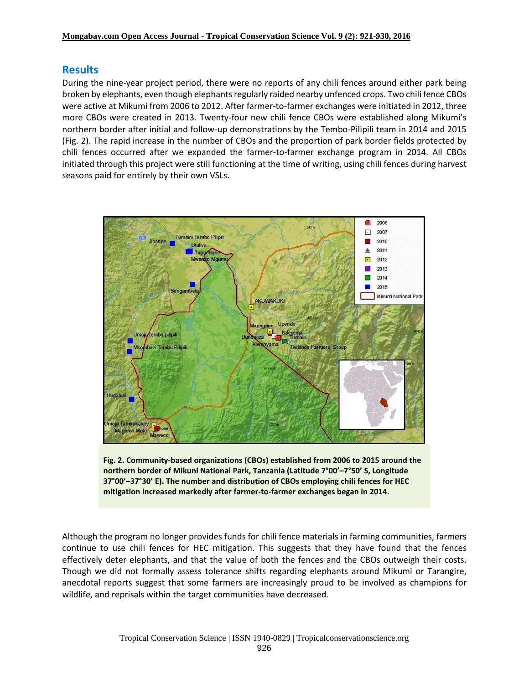# **Results**

During the nine-year project period, there were no reports of any chili fences around either park being broken by elephants, even though elephants regularly raided nearby unfenced crops. Two chili fence CBOs were active at Mikumi from 2006 to 2012. After farmer-to-farmer exchanges were initiated in 2012, three more CBOs were created in 2013. Twenty-four new chili fence CBOs were established along Mikumi's northern border after initial and follow-up demonstrations by the Tembo-Pilipili team in 2014 and 2015 (Fig. 2). The rapid increase in the number of CBOs and the proportion of park border fields protected by chili fences occurred after we expanded the farmer-to-farmer exchange program in 2014. All CBOs initiated through this project were still functioning at the time of writing, using chili fences during harvest seasons paid for entirely by their own VSLs.





Although the program no longer provides funds for chili fence materials in farming communities, farmers continue to use chili fences for HEC mitigation. This suggests that they have found that the fences effectively deter elephants, and that the value of both the fences and the CBOs outweigh their costs. Though we did not formally assess tolerance shifts regarding elephants around Mikumi or Tarangire, anecdotal reports suggest that some farmers are increasingly proud to be involved as champions for wildlife, and reprisals within the target communities have decreased.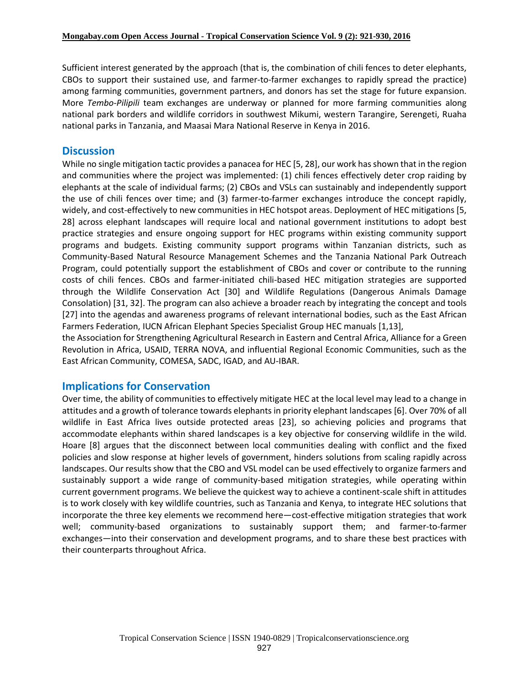Sufficient interest generated by the approach (that is, the combination of chili fences to deter elephants, CBOs to support their sustained use, and farmer-to-farmer exchanges to rapidly spread the practice) among farming communities, government partners, and donors has set the stage for future expansion. More *Tembo-Pilipili* team exchanges are underway or planned for more farming communities along national park borders and wildlife corridors in southwest Mikumi, western Tarangire, Serengeti, Ruaha national parks in Tanzania, and Maasai Mara National Reserve in Kenya in 2016.

# **Discussion**

While no single mitigation tactic provides a panacea for HEC [5, 28], our work has shown that in the region and communities where the project was implemented: (1) chili fences effectively deter crop raiding by elephants at the scale of individual farms; (2) CBOs and VSLs can sustainably and independently support the use of chili fences over time; and (3) farmer-to-farmer exchanges introduce the concept rapidly, widely, and cost-effectively to new communities in HEC hotspot areas. Deployment of HEC mitigations [5, 28] across elephant landscapes will require local and national government institutions to adopt best practice strategies and ensure ongoing support for HEC programs within existing community support programs and budgets. Existing community support programs within Tanzanian districts, such as Community-Based Natural Resource Management Schemes and the Tanzania National Park Outreach Program, could potentially support the establishment of CBOs and cover or contribute to the running costs of chili fences. CBOs and farmer-initiated chili-based HEC mitigation strategies are supported through the Wildlife Conservation Act [30] and Wildlife Regulations (Dangerous Animals Damage Consolation) [31, 32]. The program can also achieve a broader reach by integrating the concept and tools [27] into the agendas and awareness programs of relevant international bodies, such as the East African Farmers Federation, IUCN African Elephant Species Specialist Group HEC manuals [1,13],

the Association for Strengthening Agricultural Research in Eastern and Central Africa, Alliance for a Green Revolution in Africa, USAID, TERRA NOVA, and influential Regional Economic Communities, such as the East African Community, COMESA, SADC, IGAD, and AU-IBAR.

# **Implications for Conservation**

Over time, the ability of communities to effectively mitigate HEC at the local level may lead to a change in attitudes and a growth of tolerance towards elephants in priority elephant landscapes [6]. Over 70% of all wildlife in East Africa lives outside protected areas [23], so achieving policies and programs that accommodate elephants within shared landscapes is a key objective for conserving wildlife in the wild. Hoare [8] argues that the disconnect between local communities dealing with conflict and the fixed policies and slow response at higher levels of government, hinders solutions from scaling rapidly across landscapes. Our results show that the CBO and VSL model can be used effectively to organize farmers and sustainably support a wide range of community-based mitigation strategies, while operating within current government programs. We believe the quickest way to achieve a continent-scale shift in attitudes is to work closely with key wildlife countries, such as Tanzania and Kenya, to integrate HEC solutions that incorporate the three key elements we recommend here―cost-effective mitigation strategies that work well; community-based organizations to sustainably support them; and farmer-to-farmer exchanges―into their conservation and development programs, and to share these best practices with their counterparts throughout Africa.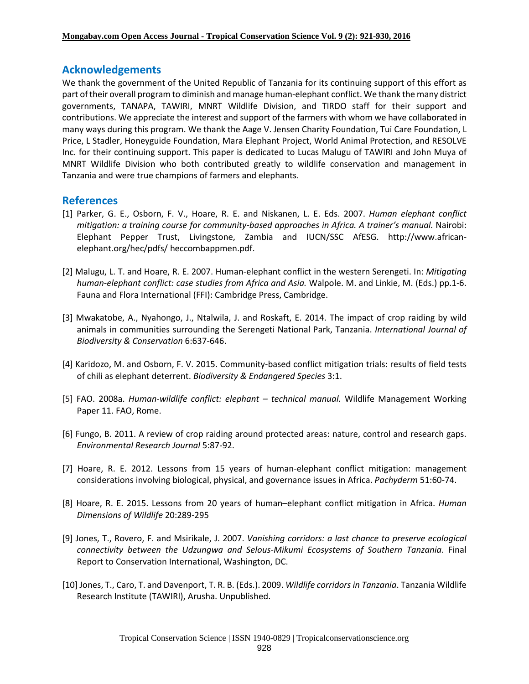### **Acknowledgements**

We thank the government of the United Republic of Tanzania for its continuing support of this effort as part oftheir overall program to diminish andmanage human-elephant conflict. We thank the many district governments, TANAPA, TAWIRI, MNRT Wildlife Division, and TIRDO staff for their support and contributions. We appreciate the interest and support of the farmers with whom we have collaborated in many ways during this program. We thank the Aage V. Jensen Charity Foundation, Tui Care Foundation, L Price, L Stadler, Honeyguide Foundation, Mara Elephant Project, World Animal Protection, and RESOLVE Inc. for their continuing support. This paper is dedicated to Lucas Malugu of TAWIRI and John Muya of MNRT Wildlife Division who both contributed greatly to wildlife conservation and management in Tanzania and were true champions of farmers and elephants.

### **References**

- [1] Parker, G. E., Osborn, F. V., Hoare, R. E. and Niskanen, L. E. Eds. 2007. *Human elephant conflict mitigation: a training course for community-based approaches in Africa. A trainer's manual.* Nairobi: Elephant Pepper Trust, Livingstone, Zambia and IUCN/SSC AfESG. http://www.africanelephant.org/hec/pdfs/ heccombappmen.pdf.
- [2] Malugu, L. T. and Hoare, R. E. 2007. Human-elephant conflict in the western Serengeti. In: *Mitigating human-elephant conflict: case studies from Africa and Asia.* Walpole. M. and Linkie, M. (Eds.) pp.1-6. Fauna and Flora International (FFI): Cambridge Press, Cambridge.
- [3] Mwakatobe, A., Nyahongo, J., Ntalwila, J. and Roskaft, E. 2014. The impact of crop raiding by wild animals in communities surrounding the Serengeti National Park, Tanzania. *International Journal of Biodiversity & Conservation* 6:637-646.
- [4] Karidozo, M. and Osborn, F. V. 2015. Community-based conflict mitigation trials: results of field tests of chili as elephant deterrent. *Biodiversity & Endangered Species* 3:1.
- [5] FAO. 2008a. *Human-wildlife conflict: elephant – technical manual.* Wildlife Management Working Paper 11. FAO, Rome.
- [6] Fungo, B. 2011. A review of crop raiding around protected areas: nature, control and research gaps. *Environmental Research Journal* 5:87-92.
- [7] Hoare, R. E. 2012. Lessons from 15 years of human-elephant conflict mitigation: management considerations involving biological, physical, and governance issues in Africa. *Pachyderm* 51:60-74.
- [8] Hoare, R. E. 2015. Lessons from 20 years of human–elephant conflict mitigation in Africa. *Human Dimensions of Wildlife* 20:289-295
- [9] Jones, T., Rovero, F. and Msirikale, J. 2007. *Vanishing corridors: a last chance to preserve ecological connectivity between the Udzungwa and Selous-Mikumi Ecosystems of Southern Tanzania*. Final Report to Conservation International, Washington, DC.
- [10] Jones, T., Caro, T. and Davenport, T. R. B. (Eds.). 2009. *Wildlife corridorsin Tanzania*. Tanzania Wildlife Research Institute (TAWIRI), Arusha. Unpublished.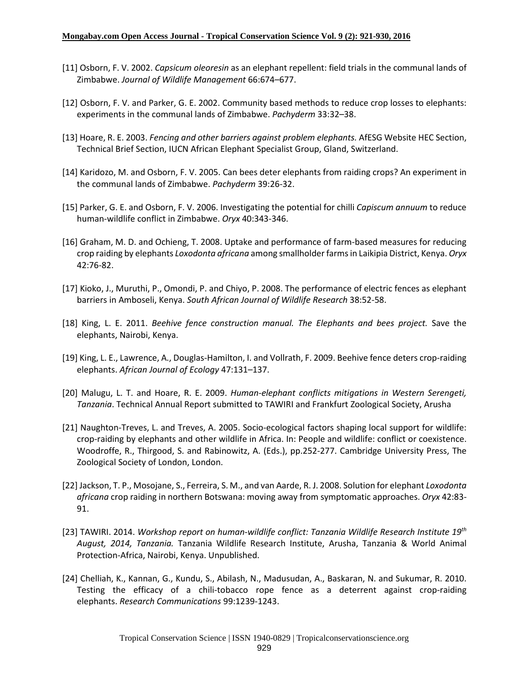- [11] Osborn, F. V. 2002. *Capsicum oleoresin* as an elephant repellent: field trials in the communal lands of Zimbabwe. *Journal of Wildlife Management* 66:674–677.
- [12] Osborn, F. V. and Parker, G. E. 2002. Community based methods to reduce crop losses to elephants: experiments in the communal lands of Zimbabwe. *Pachyderm* 33:32–38.
- [13] Hoare, R. E. 2003. *Fencing and other barriers against problem elephants.* AfESG Website HEC Section, Technical Brief Section, IUCN African Elephant Specialist Group, Gland, Switzerland.
- [14] Karidozo, M. and Osborn, F. V. 2005. Can bees deter elephants from raiding crops? An experiment in the communal lands of Zimbabwe. *Pachyderm* 39:26-32.
- [15] Parker, G. E. and Osborn, F. V. 2006. Investigating the potential for chilli *Capiscum annuum* to reduce human-wildlife conflict in Zimbabwe. *Oryx* 40:343-346.
- [16] Graham, M. D. and Ochieng, T. 2008. Uptake and performance of farm-based measures for reducing crop raiding by elephants *Loxodonta africana* among smallholder farmsin Laikipia District, Kenya. *Oryx* 42:76-82.
- [17] Kioko, J., Muruthi, P., Omondi, P. and Chiyo, P. 2008. The performance of electric fences as elephant barriers in Amboseli, Kenya. *South African Journal of Wildlife Research* 38:52-58.
- [18] King, L. E. 2011. *Beehive fence construction manual. The Elephants and bees project.* Save the elephants, Nairobi, Kenya.
- [19] King, L. E., Lawrence, A., Douglas-Hamilton, I. and Vollrath, F. 2009. Beehive fence deters crop-raiding elephants. *African Journal of Ecology* 47:131–137.
- [20] Malugu, L. T. and Hoare, R. E. 2009. *Human-elephant conflicts mitigations in Western Serengeti, Tanzania*. Technical Annual Report submitted to TAWIRI and Frankfurt Zoological Society, Arusha
- [21] Naughton-Treves, L. and Treves, A. 2005. Socio-ecological factors shaping local support for wildlife: crop-raiding by elephants and other wildlife in Africa. In: People and wildlife: conflict or coexistence. Woodroffe, R., Thirgood, S. and Rabinowitz, A. (Eds.), pp.252-277. Cambridge University Press, The Zoological Society of London, London.
- [22] Jackson, T. P., Mosojane, S., Ferreira, S. M., and van Aarde, R. J. 2008. Solution for elephant *Loxodonta africana* crop raiding in northern Botswana: moving away from symptomatic approaches. *Oryx* 42:83- 91.
- [23] TAWIRI. 2014. *Workshop report on human-wildlife conflict: Tanzania Wildlife Research Institute 19th August, 2014, Tanzania.* Tanzania Wildlife Research Institute, Arusha, Tanzania & World Animal Protection-Africa, Nairobi, Kenya. Unpublished.
- [24] Chelliah, K., Kannan, G., Kundu, S., Abilash, N., Madusudan, A., Baskaran, N. and Sukumar, R. 2010. Testing the efficacy of a chili-tobacco rope fence as a deterrent against crop-raiding elephants. *Research Communications* 99:1239-1243.